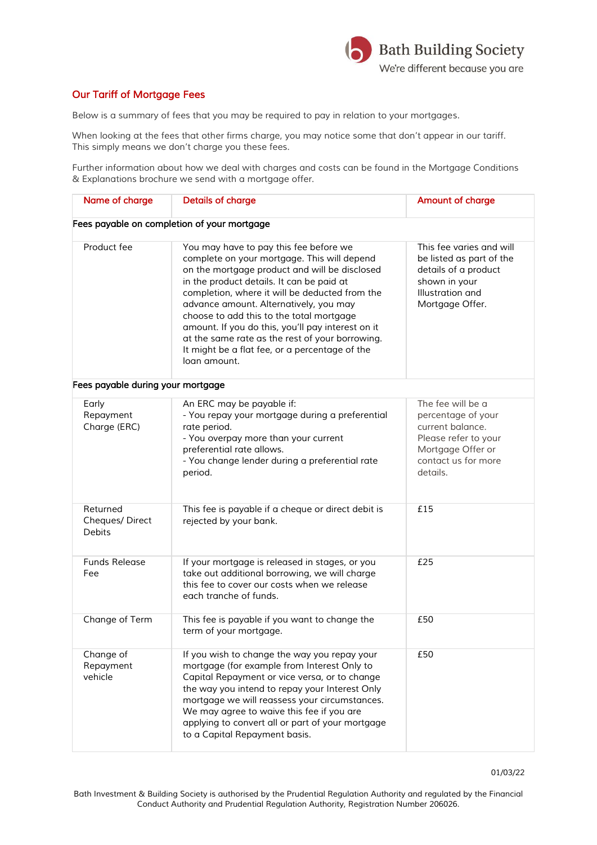

## *Our Tariff of Mortgage Fees*

*Below is a summary of fees that you may be required to pay in relation to your mortgages.*

*When looking at the fees that other firms charge, you may notice some that don't appear in our tariff. This simply means we don't charge you these fees.*

*Further information about how we deal with charges and costs can be found in the Mortgage Conditions & Explanations brochure we send with a mortgage offer.*

| Name of charge                              | <b>Details of charge</b>                                                                                                                                                                                                                                                                                                                                                                                                                                                                              | <b>Amount of charge</b>                                                                                                                     |
|---------------------------------------------|-------------------------------------------------------------------------------------------------------------------------------------------------------------------------------------------------------------------------------------------------------------------------------------------------------------------------------------------------------------------------------------------------------------------------------------------------------------------------------------------------------|---------------------------------------------------------------------------------------------------------------------------------------------|
|                                             | Fees payable on completion of your mortgage                                                                                                                                                                                                                                                                                                                                                                                                                                                           |                                                                                                                                             |
| Product fee                                 | You may have to pay this fee before we<br>complete on your mortgage. This will depend<br>on the mortgage product and will be disclosed<br>in the product details. It can be paid at<br>completion, where it will be deducted from the<br>advance amount. Alternatively, you may<br>choose to add this to the total mortgage<br>amount. If you do this, you'll pay interest on it<br>at the same rate as the rest of your borrowing.<br>It might be a flat fee, or a percentage of the<br>loan amount. | This fee varies and will<br>be listed as part of the<br>details of a product<br>shown in your<br>Illustration and<br>Mortgage Offer.        |
| Fees payable during your mortgage           |                                                                                                                                                                                                                                                                                                                                                                                                                                                                                                       |                                                                                                                                             |
| Early<br>Repayment<br>Charge (ERC)          | An ERC may be payable if:<br>- You repay your mortgage during a preferential<br>rate period.<br>- You overpay more than your current<br>preferential rate allows.<br>- You change lender during a preferential rate<br>period.                                                                                                                                                                                                                                                                        | The fee will be a<br>percentage of your<br>current balance.<br>Please refer to your<br>Mortgage Offer or<br>contact us for more<br>details. |
| Returned<br>Cheques/Direct<br><b>Debits</b> | This fee is payable if a cheque or direct debit is<br>rejected by your bank.                                                                                                                                                                                                                                                                                                                                                                                                                          | £15                                                                                                                                         |
| <b>Funds Release</b><br>Fee                 | If your mortgage is released in stages, or you<br>take out additional borrowing, we will charge<br>this fee to cover our costs when we release<br>each tranche of funds.                                                                                                                                                                                                                                                                                                                              | £25                                                                                                                                         |
| Change of Term                              | This fee is payable if you want to change the<br>term of your mortgage.                                                                                                                                                                                                                                                                                                                                                                                                                               | £50                                                                                                                                         |
| Change of<br>Repayment<br>vehicle           | If you wish to change the way you repay your<br>mortgage (for example from Interest Only to<br>Capital Repayment or vice versa, or to change<br>the way you intend to repay your Interest Only<br>mortgage we will reassess your circumstances.<br>We may agree to waive this fee if you are<br>applying to convert all or part of your mortgage<br>to a Capital Repayment basis.                                                                                                                     | £50                                                                                                                                         |